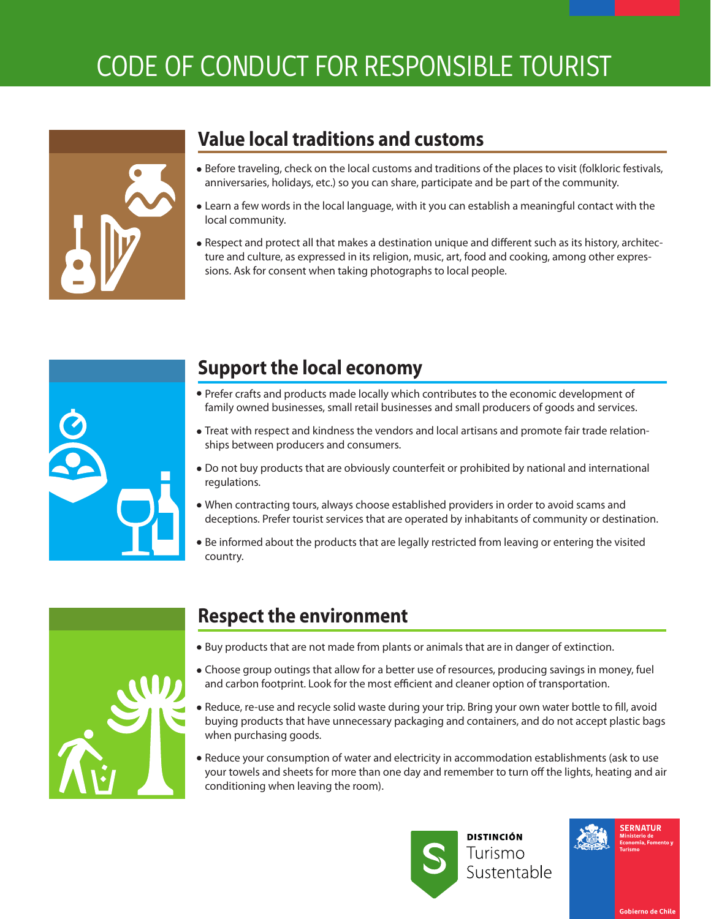# CODE OF CONDUCT FOR RESPONSIBLE TOURIST



#### **Value local traditions and customs**

- Before traveling, check on the local customs and traditions of the places to visit (folkloric festivals, anniversaries, holidays, etc.) so you can share, participate and be part of the community.
- Learn a few words in the local language, with it you can establish a meaningful contact with the local community.
- . Respect and protect all that makes a destination unique and different such as its history, architecture and culture, as expressed in its religion, music, art, food and cooking, among other expressions. Ask for consent when taking photographs to local people.



### **Support the local economy**

- Prefer crafts and products made locally which contributes to the economic development of family owned businesses, small retail businesses and small producers of goods and services.
- Treat with respect and kindness the vendors and local artisans and promote fair trade relationships between producers and consumers.
- Do not buy products that are obviously counterfeit or prohibited by national and international regulations.
- When contracting tours, always choose established providers in order to avoid scams and deceptions. Prefer tourist services that are operated by inhabitants of community or destination.
- Be informed about the products that are legally restricted from leaving or entering the visited country.



## **Respect the environment**

- Buy products that are not made from plants or animals that are in danger of extinction.
- Choose group outings that allow for a better use of resources, producing savings in money, fuel and carbon footprint. Look for the most efficient and cleaner option of transportation.
- . Reduce, re-use and recycle solid waste during your trip. Bring your own water bottle to fill, avoid buying products that have unnecessary packaging and containers, and do not accept plastic bags when purchasing goods.
- Reduce your consumption of water and electricity in accommodation establishments (ask to use your towels and sheets for more than one day and remember to turn off the lights, heating and air conditioning when leaving the room).



Sustentable